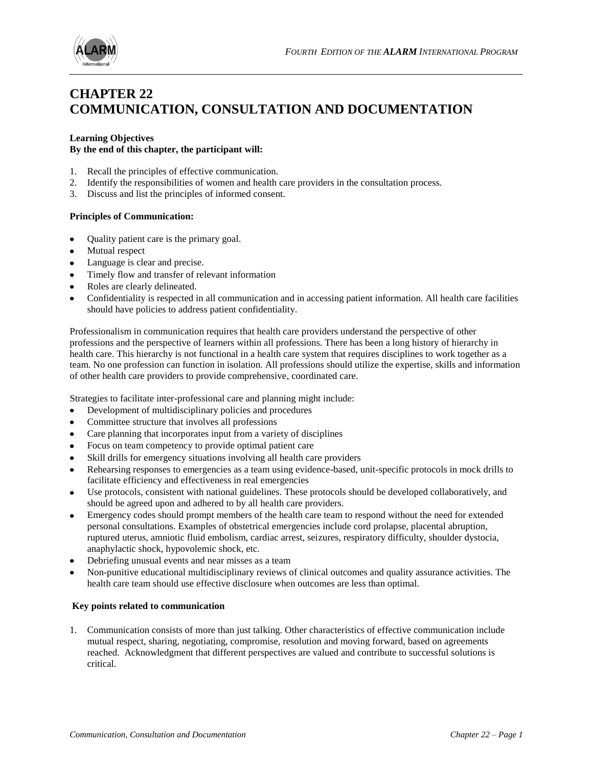

# **CHAPTER 22 COMMUNICATION, CONSULTATION AND DOCUMENTATION**

# **Learning Objectives By the end of this chapter, the participant will:**

- 1. Recall the principles of effective communication.
- 2. Identify the responsibilities of women and health care providers in the consultation process.
- 3. Discuss and list the principles of informed consent.

# **Principles of Communication:**

- Quality patient care is the primary goal.
- Mutual respect
- Language is clear and precise.
- Timely flow and transfer of relevant information
- Roles are clearly delineated.
- Confidentiality is respected in all communication and in accessing patient information. All health care facilities should have policies to address patient confidentiality.

Professionalism in communication requires that health care providers understand the perspective of other professions and the perspective of learners within all professions. There has been a long history of hierarchy in health care. This hierarchy is not functional in a health care system that requires disciplines to work together as a team. No one profession can function in isolation. All professions should utilize the expertise, skills and information of other health care providers to provide comprehensive, coordinated care.

Strategies to facilitate inter-professional care and planning might include:

- Development of multidisciplinary policies and procedures
- Committee structure that involves all professions  $\bullet$
- Care planning that incorporates input from a variety of disciplines
- Focus on team competency to provide optimal patient care
- Skill drills for emergency situations involving all health care providers
- Rehearsing responses to emergencies as a team using evidence-based, unit-specific protocols in mock drills to facilitate efficiency and effectiveness in real emergencies
- Use protocols, consistent with national guidelines. These protocols should be developed collaboratively, and  $\bullet$ should be agreed upon and adhered to by all health care providers.
- Emergency codes should prompt members of the health care team to respond without the need for extended personal consultations. Examples of obstetrical emergencies include cord prolapse, placental abruption, ruptured uterus, amniotic fluid embolism, cardiac arrest, seizures, respiratory difficulty, shoulder dystocia, anaphylactic shock, hypovolemic shock, etc.
- Debriefing unusual events and near misses as a team
- Non-punitive educational multidisciplinary reviews of clinical outcomes and quality assurance activities. The health care team should use effective disclosure when outcomes are less than optimal.

# **Key points related to communication**

1. Communication consists of more than just talking. Other characteristics of effective communication include mutual respect, sharing, negotiating, compromise, resolution and moving forward, based on agreements reached. Acknowledgment that different perspectives are valued and contribute to successful solutions is critical.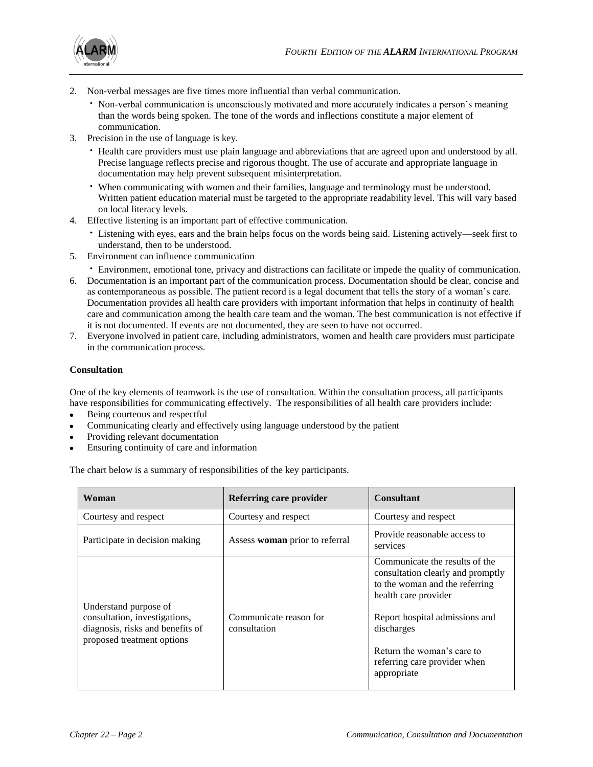

- 2. Non-verbal messages are five times more influential than verbal communication.
	- · Non-verbal communication is unconsciously motivated and more accurately indicates a person's meaning than the words being spoken. The tone of the words and inflections constitute a major element of communication.
- 3. Precision in the use of language is key.
	- · Health care providers must use plain language and abbreviations that are agreed upon and understood by all. Precise language reflects precise and rigorous thought. The use of accurate and appropriate language in documentation may help prevent subsequent misinterpretation.
	- · When communicating with women and their families, language and terminology must be understood. Written patient education material must be targeted to the appropriate readability level. This will vary based on local literacy levels.
- 4. Effective listening is an important part of effective communication.
	- · Listening with eyes, ears and the brain helps focus on the words being said. Listening actively—seek first to understand, then to be understood.
- 5. Environment can influence communication
	- · Environment, emotional tone, privacy and distractions can facilitate or impede the quality of communication.
- 6. Documentation is an important part of the communication process. Documentation should be clear, concise and as contemporaneous as possible. The patient record is a legal document that tells the story of a woman's care. Documentation provides all health care providers with important information that helps in continuity of health care and communication among the health care team and the woman. The best communication is not effective if it is not documented. If events are not documented, they are seen to have not occurred.
- 7. Everyone involved in patient care, including administrators, women and health care providers must participate in the communication process.

# **Consultation**

One of the key elements of teamwork is the use of consultation. Within the consultation process, all participants have responsibilities for communicating effectively. The responsibilities of all health care providers include:

- $\bullet$ Being courteous and respectful
- Communicating clearly and effectively using language understood by the patient
- Providing relevant documentation
- Ensuring continuity of care and information

The chart below is a summary of responsibilities of the key participants.

| Woman                                                                                                                    | Referring care provider                | <b>Consultant</b>                                                                                                                                                                                                                                          |
|--------------------------------------------------------------------------------------------------------------------------|----------------------------------------|------------------------------------------------------------------------------------------------------------------------------------------------------------------------------------------------------------------------------------------------------------|
| Courtesy and respect                                                                                                     | Courtesy and respect                   | Courtesy and respect                                                                                                                                                                                                                                       |
| Participate in decision making                                                                                           | Assess woman prior to referral         | Provide reasonable access to<br>services                                                                                                                                                                                                                   |
| Understand purpose of<br>consultation, investigations,<br>diagnosis, risks and benefits of<br>proposed treatment options | Communicate reason for<br>consultation | Communicate the results of the<br>consultation clearly and promptly<br>to the woman and the referring<br>health care provider<br>Report hospital admissions and<br>discharges<br>Return the woman's care to<br>referring care provider when<br>appropriate |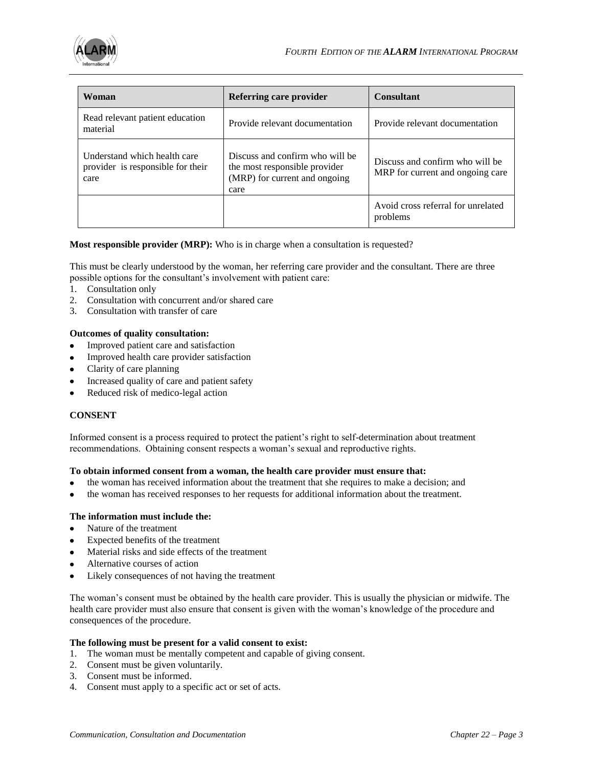

| Woman                                                                     | Referring care provider                                                                                   | <b>Consultant</b>                                                   |
|---------------------------------------------------------------------------|-----------------------------------------------------------------------------------------------------------|---------------------------------------------------------------------|
| Read relevant patient education<br>material                               | Provide relevant documentation                                                                            | Provide relevant documentation                                      |
| Understand which health care<br>provider is responsible for their<br>care | Discuss and confirm who will be<br>the most responsible provider<br>(MRP) for current and ongoing<br>care | Discuss and confirm who will be<br>MRP for current and ongoing care |
|                                                                           |                                                                                                           | Avoid cross referral for unrelated<br>problems                      |

# **Most responsible provider (MRP):** Who is in charge when a consultation is requested?

This must be clearly understood by the woman, her referring care provider and the consultant. There are three possible options for the consultant's involvement with patient care:

- 1. Consultation only
- 2. Consultation with concurrent and/or shared care
- 3. Consultation with transfer of care

# **Outcomes of quality consultation:**

- Improved patient care and satisfaction
- Improved health care provider satisfaction
- Clarity of care planning  $\bullet$
- Increased quality of care and patient safety
- $\bullet$ Reduced risk of medico-legal action

# **CONSENT**

Informed consent is a process required to protect the patient's right to self-determination about treatment recommendations. Obtaining consent respects a woman's sexual and reproductive rights.

# **To obtain informed consent from a woman, the health care provider must ensure that:**

- the woman has received information about the treatment that she requires to make a decision; and
- the woman has received responses to her requests for additional information about the treatment.

#### **The information must include the:**

- Nature of the treatment
- Expected benefits of the treatment  $\bullet$
- Material risks and side effects of the treatment
- Alternative courses of action
- Likely consequences of not having the treatment  $\bullet$

The woman's consent must be obtained by the health care provider. This is usually the physician or midwife. The health care provider must also ensure that consent is given with the woman's knowledge of the procedure and consequences of the procedure.

#### **The following must be present for a valid consent to exist:**

- 1. The woman must be mentally competent and capable of giving consent.
- 2. Consent must be given voluntarily.
- 3. Consent must be informed.
- 4. Consent must apply to a specific act or set of acts.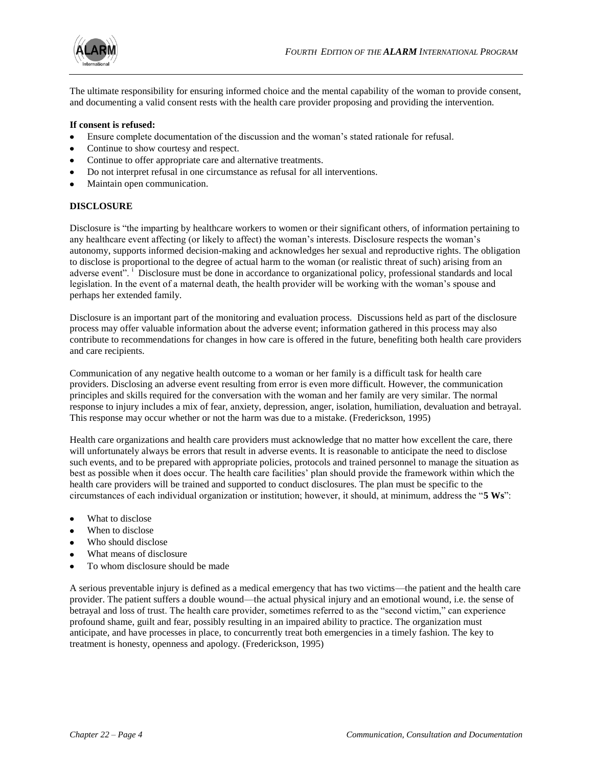

The ultimate responsibility for ensuring informed choice and the mental capability of the woman to provide consent, and documenting a valid consent rests with the health care provider proposing and providing the intervention.

# **If consent is refused:**

- Ensure complete documentation of the discussion and the woman's stated rationale for refusal.
- Continue to show courtesy and respect.
- Continue to offer appropriate care and alternative treatments.  $\bullet$
- Do not interpret refusal in one circumstance as refusal for all interventions.
- Maintain open communication.

# **DISCLOSURE**

Disclosure is "the imparting by healthcare workers to women or their significant others, of information pertaining to any healthcare event affecting (or likely to affect) the woman's interests. Disclosure respects the woman's autonomy, supports informed decision-making and acknowledges her sexual and reproductive rights. The obligation to disclose is proportional to the degree of actual harm to the woman (or realistic threat of such) arising from an adverse event". <sup>i</sup>Disclosure must be done in accordance to organizational policy, professional standards and local legislation. In the event of a maternal death, the health provider will be working with the woman's spouse and perhaps her extended family.

Disclosure is an important part of the monitoring and evaluation process. Discussions held as part of the disclosure process may offer valuable information about the adverse event; information gathered in this process may also contribute to recommendations for changes in how care is offered in the future, benefiting both health care providers and care recipients.

Communication of any negative health outcome to a woman or her family is a difficult task for health care providers. Disclosing an adverse event resulting from error is even more difficult. However, the communication principles and skills required for the conversation with the woman and her family are very similar. The normal response to injury includes a mix of fear, anxiety, depression, anger, isolation, humiliation, devaluation and betrayal. This response may occur whether or not the harm was due to a mistake. (Frederickson, 1995)

Health care organizations and health care providers must acknowledge that no matter how excellent the care, there will unfortunately always be errors that result in adverse events. It is reasonable to anticipate the need to disclose such events, and to be prepared with appropriate policies, protocols and trained personnel to manage the situation as best as possible when it does occur. The health care facilities' plan should provide the framework within which the health care providers will be trained and supported to conduct disclosures. The plan must be specific to the circumstances of each individual organization or institution; however, it should, at minimum, address the "**5 Ws**":

- What to disclose
- When to disclose
- Who should disclose
- What means of disclosure
- To whom disclosure should be made

A serious preventable injury is defined as a medical emergency that has two victims—the patient and the health care provider. The patient suffers a double wound—the actual physical injury and an emotional wound, i.e. the sense of betrayal and loss of trust. The health care provider, sometimes referred to as the "second victim," can experience profound shame, guilt and fear, possibly resulting in an impaired ability to practice. The organization must anticipate, and have processes in place, to concurrently treat both emergencies in a timely fashion. The key to treatment is honesty, openness and apology. (Frederickson, 1995)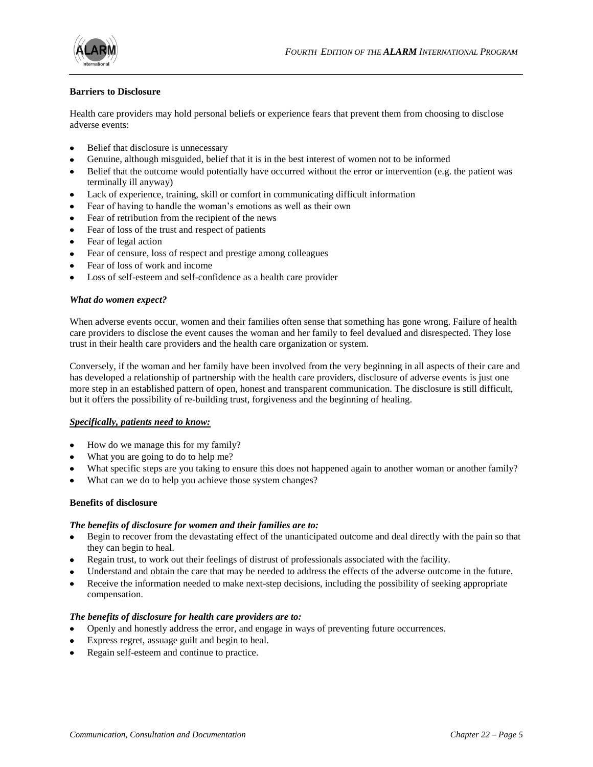

# **Barriers to Disclosure**

Health care providers may hold personal beliefs or experience fears that prevent them from choosing to disclose adverse events:

- Belief that disclosure is unnecessary
- Genuine, although misguided, belief that it is in the best interest of women not to be informed  $\bullet$
- Belief that the outcome would potentially have occurred without the error or intervention (e.g. the patient was terminally ill anyway)
- Lack of experience, training, skill or comfort in communicating difficult information
- Fear of having to handle the woman's emotions as well as their own  $\bullet$
- Fear of retribution from the recipient of the news
- Fear of loss of the trust and respect of patients
- Fear of legal action
- Fear of censure, loss of respect and prestige among colleagues
- Fear of loss of work and income
- Loss of self-esteem and self-confidence as a health care provider  $\bullet$

#### *What do women expect?*

When adverse events occur, women and their families often sense that something has gone wrong. Failure of health care providers to disclose the event causes the woman and her family to feel devalued and disrespected. They lose trust in their health care providers and the health care organization or system.

Conversely, if the woman and her family have been involved from the very beginning in all aspects of their care and has developed a relationship of partnership with the health care providers, disclosure of adverse events is just one more step in an established pattern of open, honest and transparent communication. The disclosure is still difficult, but it offers the possibility of re-building trust, forgiveness and the beginning of healing.

# *Specifically, patients need to know:*

- How do we manage this for my family?
- What you are going to do to help me?  $\bullet$
- What specific steps are you taking to ensure this does not happened again to another woman or another family?
- What can we do to help you achieve those system changes?

#### **Benefits of disclosure**

#### *The benefits of disclosure for women and their families are to:*

- Begin to recover from the devastating effect of the unanticipated outcome and deal directly with the pain so that they can begin to heal.
- Regain trust, to work out their feelings of distrust of professionals associated with the facility.
- Understand and obtain the care that may be needed to address the effects of the adverse outcome in the future.
- Receive the information needed to make next-step decisions, including the possibility of seeking appropriate  $\bullet$ compensation.

# *The benefits of disclosure for health care providers are to:*

- Openly and honestly address the error, and engage in ways of preventing future occurrences.
- Express regret, assuage guilt and begin to heal.  $\bullet$
- Regain self-esteem and continue to practice.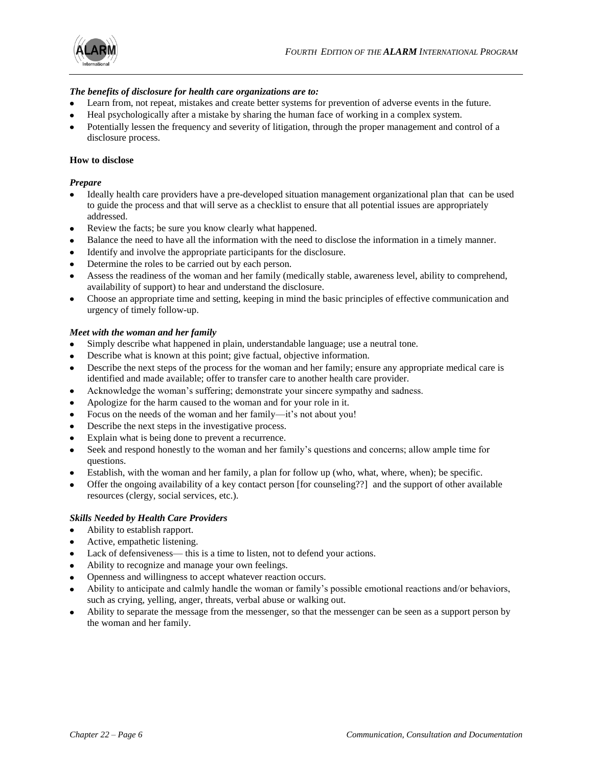

# *The benefits of disclosure for health care organizations are to:*

- Learn from, not repeat, mistakes and create better systems for prevention of adverse events in the future.
- Heal psychologically after a mistake by sharing the human face of working in a complex system.
- Potentially lessen the frequency and severity of litigation, through the proper management and control of a disclosure process.

#### **How to disclose**

# *Prepare*

- Ideally health care providers have a pre-developed situation management organizational plan that can be used to guide the process and that will serve as a checklist to ensure that all potential issues are appropriately addressed.
- Review the facts; be sure you know clearly what happened.
- Balance the need to have all the information with the need to disclose the information in a timely manner.
- Identify and involve the appropriate participants for the disclosure.
- Determine the roles to be carried out by each person.
- Assess the readiness of the woman and her family (medically stable, awareness level, ability to comprehend, availability of support) to hear and understand the disclosure.
- Choose an appropriate time and setting, keeping in mind the basic principles of effective communication and urgency of timely follow-up.

# *Meet with the woman and her family*

- Simply describe what happened in plain, understandable language; use a neutral tone.  $\bullet$
- Describe what is known at this point; give factual, objective information.
- Describe the next steps of the process for the woman and her family; ensure any appropriate medical care is identified and made available; offer to transfer care to another health care provider.
- Acknowledge the woman's suffering; demonstrate your sincere sympathy and sadness.
- Apologize for the harm caused to the woman and for your role in it.
- Focus on the needs of the woman and her family—it's not about you!
- Describe the next steps in the investigative process.
- Explain what is being done to prevent a recurrence.
- Seek and respond honestly to the woman and her family's questions and concerns; allow ample time for questions.
- Establish, with the woman and her family, a plan for follow up (who, what, where, when); be specific.
- Offer the ongoing availability of a key contact person [for counseling??] and the support of other available resources (clergy, social services, etc.).

#### *Skills Needed by Health Care Providers*

- Ability to establish rapport.
- Active, empathetic listening.
- Lack of defensiveness— this is a time to listen, not to defend your actions.
- Ability to recognize and manage your own feelings.
- Openness and willingness to accept whatever reaction occurs.
- Ability to anticipate and calmly handle the woman or family's possible emotional reactions and/or behaviors,  $\bullet$ such as crying, yelling, anger, threats, verbal abuse or walking out.
- Ability to separate the message from the messenger, so that the messenger can be seen as a support person by the woman and her family.